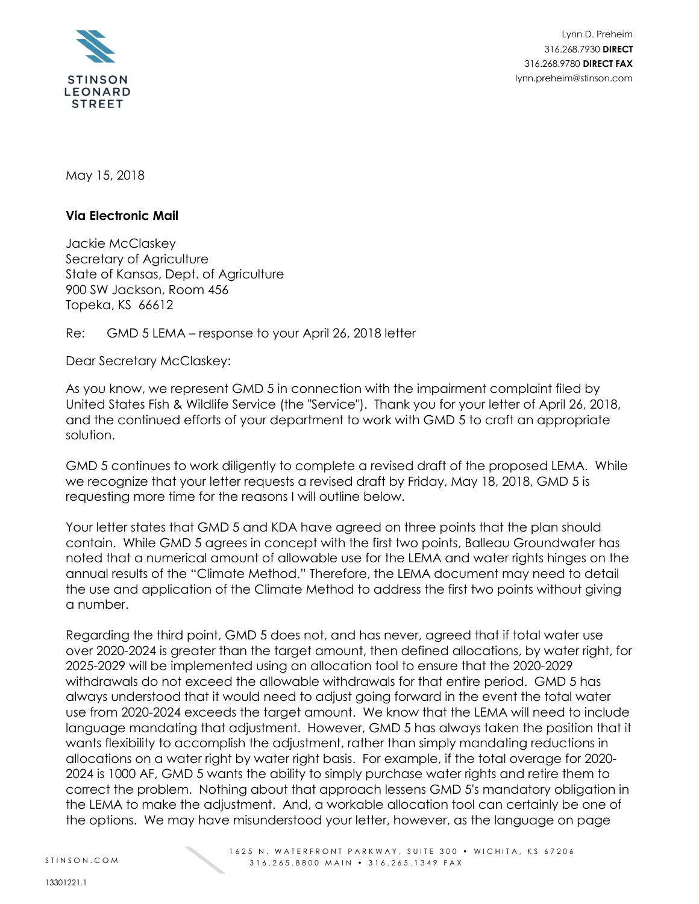

Lynn D. Preheim 316.268.7930 **DIRECT** 316.268.9780 **DIRECT FAX** lynn.preheim@stinson.com

May 15, 2018

## **Via Electronic Mail**

Jackie McClaskey Secretary of Agriculture State of Kansas, Dept. of Agriculture 900 SW Jackson, Room 456 Topeka, KS 66612

Re: GMD 5 LEMA – response to your April 26, 2018 letter

Dear Secretary McClaskey:

As you know, we represent GMD 5 in connection with the impairment complaint filed by United States Fish & Wildlife Service (the "Service"). Thank you for your letter of April 26, 2018, and the continued efforts of your department to work with GMD 5 to craft an appropriate solution.

GMD 5 continues to work diligently to complete a revised draft of the proposed LEMA. While we recognize that your letter requests a revised draft by Friday, May 18, 2018, GMD 5 is requesting more time for the reasons I will outline below.

Your letter states that GMD 5 and KDA have agreed on three points that the plan should contain. While GMD 5 agrees in concept with the first two points, Balleau Groundwater has noted that a numerical amount of allowable use for the LEMA and water rights hinges on the annual results of the "Climate Method." Therefore, the LEMA document may need to detail the use and application of the Climate Method to address the first two points without giving a number.

Regarding the third point, GMD 5 does not, and has never, agreed that if total water use over 2020-2024 is greater than the target amount, then defined allocations, by water right, for 2025-2029 will be implemented using an allocation tool to ensure that the 2020-2029 withdrawals do not exceed the allowable withdrawals for that entire period. GMD 5 has always understood that it would need to adjust going forward in the event the total water use from 2020-2024 exceeds the target amount. We know that the LEMA will need to include language mandating that adjustment. However, GMD 5 has always taken the position that it wants flexibility to accomplish the adjustment, rather than simply mandating reductions in allocations on a water right by water right basis. For example, if the total overage for 2020- 2024 is 1000 AF, GMD 5 wants the ability to simply purchase water rights and retire them to correct the problem. Nothing about that approach lessens GMD 5's mandatory obligation in the LEMA to make the adjustment. And, a workable allocation tool can certainly be one of the options. We may have misunderstood your letter, however, as the language on page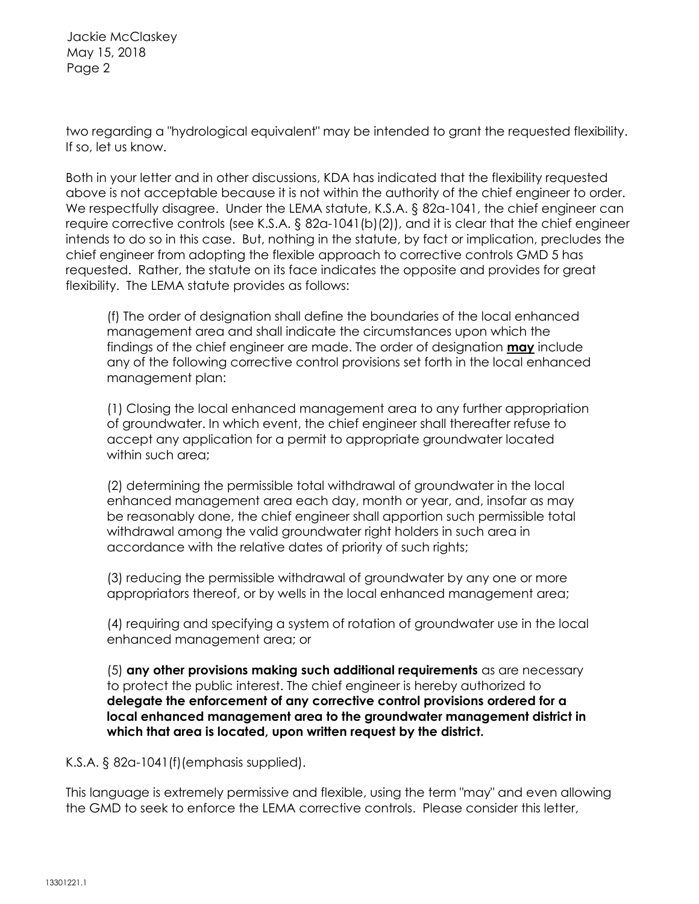Jackie McClaskey May 15, 2018 Page 2

two regarding a "hydrological equivalent" may be intended to grant the requested flexibility. If so, let us know.

Both in your letter and in other discussions, KDA has indicated that the flexibility requested above is not acceptable because it is not within the authority of the chief engineer to order. We respectfully disagree. Under the LEMA statute, K.S.A. § 82a-1041, the chief engineer can require corrective controls (see K.S.A. § 82a-1041(b)(2)), and it is clear that the chief engineer intends to do so in this case. But, nothing in the statute, by fact or implication, precludes the chief engineer from adopting the flexible approach to corrective controls GMD 5 has requested. Rather, the statute on its face indicates the opposite and provides for great flexibility. The LEMA statute provides as follows:

(f) The order of designation shall define the boundaries of the local enhanced management area and shall indicate the circumstances upon which the findings of the chief engineer are made. The order of designation **may** include any of the following corrective control provisions set forth in the local enhanced management plan:

(1) Closing the local enhanced management area to any further appropriation of groundwater. In which event, the chief engineer shall thereafter refuse to accept any application for a permit to appropriate groundwater located within such area:

(2) determining the permissible total withdrawal of groundwater in the local enhanced management area each day, month or year, and, insofar as may be reasonably done, the chief engineer shall apportion such permissible total withdrawal among the valid groundwater right holders in such area in accordance with the relative dates of priority of such rights;

(3) reducing the permissible withdrawal of groundwater by any one or more appropriators thereof, or by wells in the local enhanced management area;

(4) requiring and specifying a system of rotation of groundwater use in the local enhanced management area; or

(5) **any other provisions making such additional requirements** as are necessary to protect the public interest. The chief engineer is hereby authorized to **delegate the enforcement of any corrective control provisions ordered for a local enhanced management area to the groundwater management district in which that area is located, upon written request by the district.**

K.S.A. § 82a-1041(f)(emphasis supplied).

This language is extremely permissive and flexible, using the term "may" and even allowing the GMD to seek to enforce the LEMA corrective controls. Please consider this letter,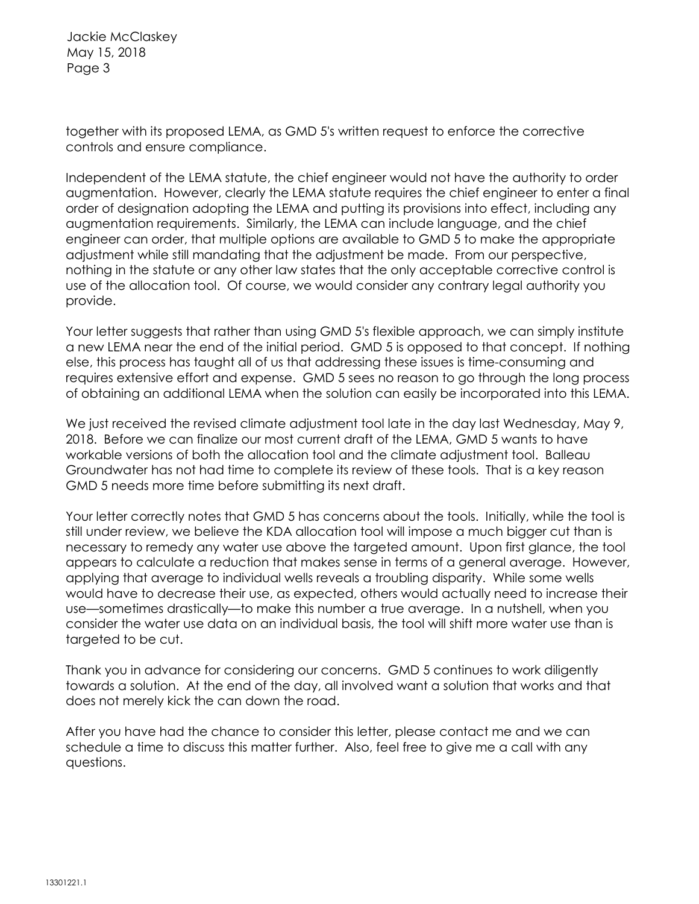Jackie McClaskey May 15, 2018 Page 3

together with its proposed LEMA, as GMD 5's written request to enforce the corrective controls and ensure compliance.

Independent of the LEMA statute, the chief engineer would not have the authority to order augmentation. However, clearly the LEMA statute requires the chief engineer to enter a final order of designation adopting the LEMA and putting its provisions into effect, including any augmentation requirements. Similarly, the LEMA can include language, and the chief engineer can order, that multiple options are available to GMD 5 to make the appropriate adjustment while still mandating that the adjustment be made. From our perspective, nothing in the statute or any other law states that the only acceptable corrective control is use of the allocation tool. Of course, we would consider any contrary legal authority you provide.

Your letter suggests that rather than using GMD 5's flexible approach, we can simply institute a new LEMA near the end of the initial period. GMD 5 is opposed to that concept. If nothing else, this process has taught all of us that addressing these issues is time-consuming and requires extensive effort and expense. GMD 5 sees no reason to go through the long process of obtaining an additional LEMA when the solution can easily be incorporated into this LEMA.

We just received the revised climate adjustment tool late in the day last Wednesday, May 9, 2018. Before we can finalize our most current draft of the LEMA, GMD 5 wants to have workable versions of both the allocation tool and the climate adjustment tool. Balleau Groundwater has not had time to complete its review of these tools. That is a key reason GMD 5 needs more time before submitting its next draft.

Your letter correctly notes that GMD 5 has concerns about the tools. Initially, while the tool is still under review, we believe the KDA allocation tool will impose a much bigger cut than is necessary to remedy any water use above the targeted amount. Upon first glance, the tool appears to calculate a reduction that makes sense in terms of a general average. However, applying that average to individual wells reveals a troubling disparity. While some wells would have to decrease their use, as expected, others would actually need to increase their use—sometimes drastically—to make this number a true average. In a nutshell, when you consider the water use data on an individual basis, the tool will shift more water use than is targeted to be cut.

Thank you in advance for considering our concerns. GMD 5 continues to work diligently towards a solution. At the end of the day, all involved want a solution that works and that does not merely kick the can down the road.

After you have had the chance to consider this letter, please contact me and we can schedule a time to discuss this matter further. Also, feel free to give me a call with any questions.